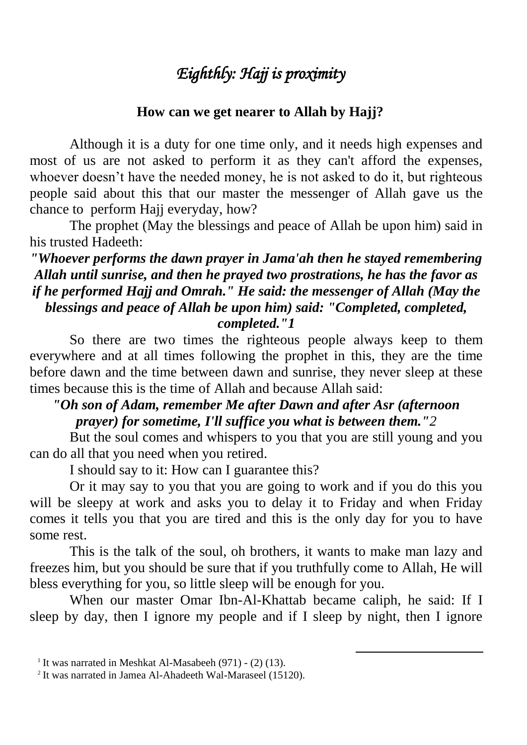# *Eighthly: Hajj is proximity*

#### **How can we get nearer to Allah by Hajj?**

Although it is a duty for one time only, and it needs high expenses and most of us are not asked to perform it as they can't afford the expenses, whoever doesn't have the needed money, he is not asked to do it, but righteous people said about this that our master the messenger of Allah gave us the chance to perform Hajj everyday, how?

The prophet (May the blessings and peace of Allah be upon him) said in his trusted Hadeeth:

### *"Whoever performs the dawn prayer in Jama'ah then he stayed remembering Allah until sunrise, and then he prayed two prostrations, he has the favor as if he performed Hajj and Omrah." He said: the messenger of Allah (May the blessings and peace of Allah be upon him) said: "Completed, completed, completed."1*

So there are two times the righteous people always keep to them everywhere and at all times following the prophet in this, they are the time before dawn and the time between dawn and sunrise, they never sleep at these times because this is the time of Allah and because Allah said:

#### *"Oh son of Adam, remember Me after Dawn and after Asr (afternoon prayer) for sometime, I'll suffice you what is between them."2*

But the soul comes and whispers to you that you are still young and you can do all that you need when you retired.

I should say to it: How can I guarantee this?

Or it may say to you that you are going to work and if you do this you will be sleepy at work and asks you to delay it to Friday and when Friday comes it tells you that you are tired and this is the only day for you to have some rest.

This is the talk of the soul, oh brothers, it wants to make man lazy and freezes him, but you should be sure that if you truthfully come to Allah, He will bless everything for you, so little sleep will be enough for you.

When our master Omar Ibn-Al-Khattab became caliph, he said: If I sleep by day, then I ignore my people and if I sleep by night, then I ignore

1

<sup>&</sup>lt;sup>1</sup> It was narrated in Meshkat Al-Masabeeh  $(971)$  -  $(2)$   $(13)$ .

<sup>&</sup>lt;sup>2</sup> It was narrated in Jamea Al-Ahadeeth Wal-Maraseel (15120).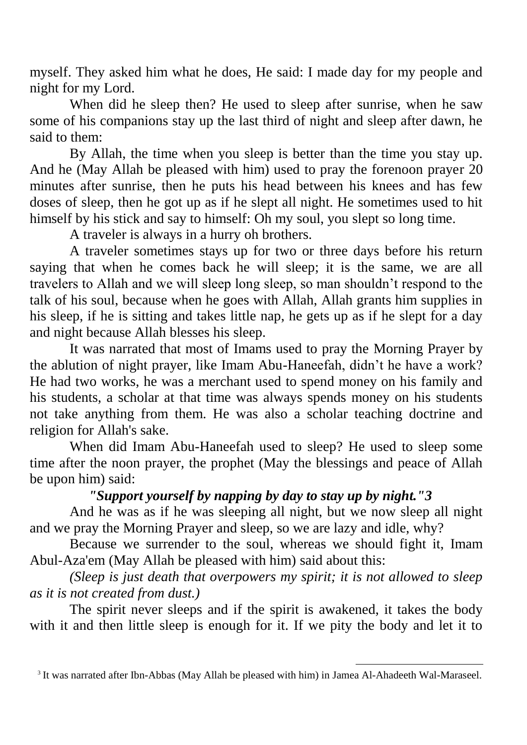myself. They asked him what he does, He said: I made day for my people and night for my Lord.

When did he sleep then? He used to sleep after sunrise, when he saw some of his companions stay up the last third of night and sleep after dawn, he said to them:

By Allah, the time when you sleep is better than the time you stay up. And he (May Allah be pleased with him) used to pray the forenoon prayer 20 minutes after sunrise, then he puts his head between his knees and has few doses of sleep, then he got up as if he slept all night. He sometimes used to hit himself by his stick and say to himself: Oh my soul, you slept so long time.

A traveler is always in a hurry oh brothers.

A traveler sometimes stays up for two or three days before his return saying that when he comes back he will sleep; it is the same, we are all travelers to Allah and we will sleep long sleep, so man shouldn't respond to the talk of his soul, because when he goes with Allah, Allah grants him supplies in his sleep, if he is sitting and takes little nap, he gets up as if he slept for a day and night because Allah blesses his sleep.

It was narrated that most of Imams used to pray the Morning Prayer by the ablution of night prayer, like Imam Abu-Haneefah, didn't he have a work? He had two works, he was a merchant used to spend money on his family and his students, a scholar at that time was always spends money on his students not take anything from them. He was also a scholar teaching doctrine and religion for Allah's sake.

When did Imam Abu-Haneefah used to sleep? He used to sleep some time after the noon prayer, the prophet (May the blessings and peace of Allah be upon him) said:

# *"Support yourself by napping by day to stay up by night."3*

And he was as if he was sleeping all night, but we now sleep all night and we pray the Morning Prayer and sleep, so we are lazy and idle, why?

Because we surrender to the soul, whereas we should fight it, Imam Abul-Aza'em (May Allah be pleased with him) said about this:

*(Sleep is just death that overpowers my spirit; it is not allowed to sleep as it is not created from dust.)*

The spirit never sleeps and if the spirit is awakened, it takes the body with it and then little sleep is enough for it. If we pity the body and let it to

1

<sup>&</sup>lt;sup>3</sup> It was narrated after Ibn-Abbas (May Allah be pleased with him) in Jamea Al-Ahadeeth Wal-Maraseel.